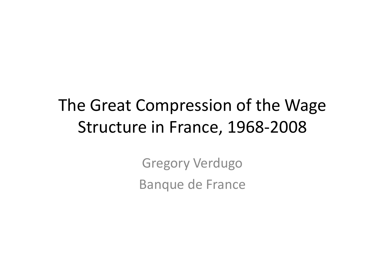# The Great Compression of the Wage Structure in France, 1968-2008

Gregory VerdugoBanque de France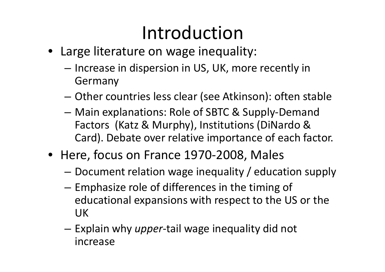# Introduction

- Large literature on wage inequality:
	- –- Increase in dispersion in US, UK, more recently in Germany
	- Other countries less clear (see Atkinson): often stable
	- –- Main explanations: Role of SBTC & Supply-Demand Factors (Katz & Murphy), Institutions (DiNardo & Card). Debate over relative importance of each factor.
- Here, focus on France 1970-2008, Males
	- – $-$  Document relation wage inequality / education supply
	- Emphasize role of differences in the timing of educational expansions with respect to the US or the UK
	- Explain why *upper*-tail wage inequality did not increase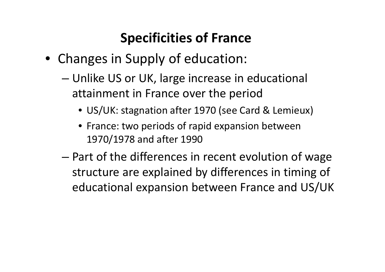#### Specificities of France

- Changes in Supply of education:
	- – Unlike US or UK, large increase in educational attainment in France over the period
		- US/UK: stagnation after 1970 (see Card & Lemieux)
		- France: two periods of rapid expansion between 1970/1978 and after 1990
	- – Part of the differences in recent evolution of wage structure are explained by differences in timing ofeducational expansion between France and US/UK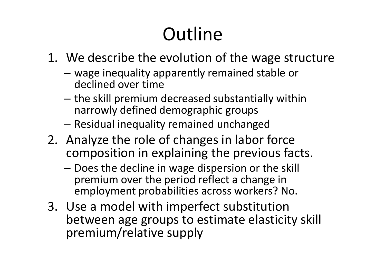# **Outline**

- 1. We describe the evolution of the wage structure
	- –- wage inequality apparently remained stable or declined over time
	- the skill premium decreased substantially within narrowly defined demographic groups
	- $-$  Residual inequality remained unchanged
- 2. Analyze the role of changes in labor force composition in explaining the previous facts.
	- –- Does the decline in wage dispersion or the skill premium over the period reflect a change in employment probabilities across workers? No.
- 3. Use a model with imperfect substitution between age groups to estimate elasticity skill premium/relative supply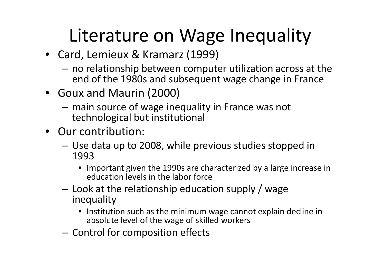# Literature on Wage Inequality

- Card, Lemieux & Kramarz (1999)
	- no relationship between computer utilization across at the<br>end of the 1080s and subsequent wage shapes in France end of the 1980s and subsequent wage change in France
- Goux and Maurin (2000)
	- –- main source of wage inequality in France was not technological but institutional
- Our contribution:
	- Use data up to 2008, while previous studies stopped in 1993
		- Important given the 1990s are characterized by a large increase in education levels in the labor force
	- Look at the relationship education supply / wage inequality
		- Institution such as the minimum wage cannot explain decline in absolute level of the wage of skilled workers
	- – $-$  Control for composition effects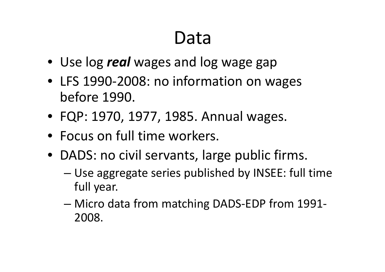## Data

- Use log *real* wages and log wage gap
- LFS 1990-2008: no information on wages before 1990.
- FQP: 1970, 1977, 1985. Annual wages.
- Focus on full time workers.
- DADS: no civil servants, large public firms.
	- and the state of the state Use aggregate series published by INSEE: full time full year.
	- – Micro data from matching DADS-EDP from 1991- 2008.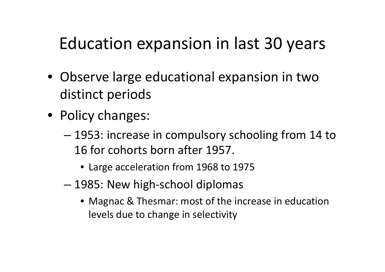#### Education expansion in last 30 years

- Observe large educational expansion in two distinct periods
- Policy changes:
	- – 1953: increase in compulsory schooling from 14 to 16 for cohorts born after 1957.
		- Large acceleration from 1968 to 1975
	- and the state of the state 1985: New high-school diplomas
		- Magnac & Thesmar: most of the increase in education levels due to change in selectivity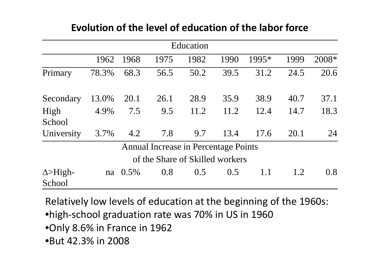|                            |       |         |                                             | Education |      |       |      |       |
|----------------------------|-------|---------|---------------------------------------------|-----------|------|-------|------|-------|
|                            | 1962  | 1968    | 1975                                        | 1982      | 1990 | 1995* | 1999 | 2008* |
| Primary                    | 78.3% | 68.3    | 56.5                                        | 50.2      | 39.5 | 31.2  | 24.5 | 20.6  |
| Secondary                  | 13.0% | 20.1    | 26.1                                        | 28.9      | 35.9 | 38.9  | 40.7 | 37.1  |
| High                       | 4.9%  | 7.5     | 9.5                                         | 11.2      | 11.2 | 12.4  | 14.7 | 18.3  |
| School                     |       |         |                                             |           |      |       |      |       |
| University                 | 3.7%  | 4.2     | 7.8                                         | 9.7       | 13.4 | 17.6  | 20.1 | 24    |
|                            |       |         | <b>Annual Increase in Percentage Points</b> |           |      |       |      |       |
|                            |       |         | of the Share of Skilled workers             |           |      |       |      |       |
| $\Delta >$ High-<br>School | na    | $0.5\%$ | 0.8                                         | 0.5       | 0.5  | 1.1   | 1.2  | 0.8   |

#### Evolution of the level of education of the labor force

Relatively low levels of education at the beginning of the 1960s:

•high-school graduation rate was 70% in US in 1960

•Only 8.6% in France in 1962

•But 42.3% in 2008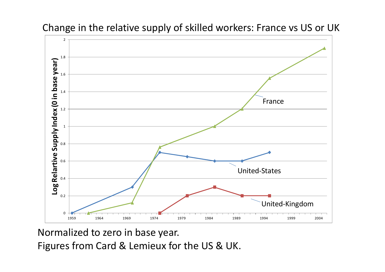

Change in the relative supply of skilled workers: France vs US or UK

Normalized to zero in base year.

Figures from Card & Lemieux for the US & UK.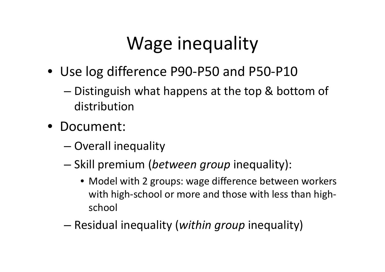# Wage inequality

- Use log difference P90-P50 and P50-P10
	- and the state of the state – Distinguish what happens at the top & bottom of distribution
- Document:
	- and the state of the state — Overall inequality
	- – $-$  Skill premium (*between group* inequality):
		- Model with 2 groups: wage difference between workerswith high-school or more and those with less than highschool
	- and the state of the state — Residual inequality (*within group* inequality)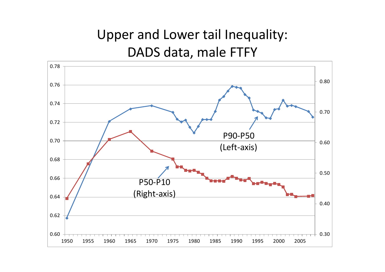#### Upper and Lower tail Inequality: DADS data, male FTFY

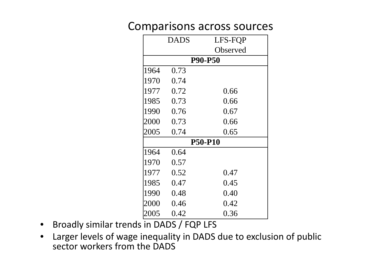#### Comparisons across sources

|      | <b>DADS</b> | LFS-FQP        |
|------|-------------|----------------|
|      |             | Observed       |
|      |             | <b>P90-P50</b> |
| 1964 | 0.73        |                |
| 1970 | 0.74        |                |
| 1977 | 0.72        | 0.66           |
| 1985 | 0.73        | 0.66           |
| 1990 | 0.76        | 0.67           |
| 2000 | 0.73        | 0.66           |
| 2005 | 0.74        | 0.65           |
|      |             | <b>P50-P10</b> |
| 1964 | 0.64        |                |
| 1970 | 0.57        |                |
| 1977 | 0.52        | 0.47           |
| 1985 | 0.47        | 0.45           |
| 1990 | 0.48        | 0.40           |
| 2000 | 0.46        | 0.42           |
| 2005 | 0.42        | 0.36           |

- $\bullet$ Broadly similar trends in DADS / FQP LFS
- $\bullet$  Larger levels of wage inequality in DADS due to exclusion of public sector workers from the DADS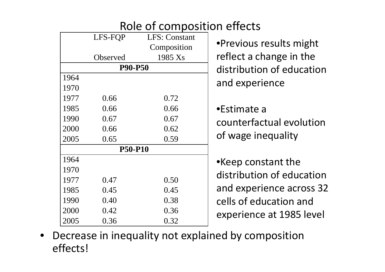|      |                | Role of composition effects |                           |
|------|----------------|-----------------------------|---------------------------|
|      | LFS-FOP        | LFS: Constant               |                           |
|      |                | Composition                 | •Previous results might   |
|      | Observed       | 1985 Xs                     | reflect a change in the   |
|      | <b>P90-P50</b> |                             | distribution of education |
| 1964 |                |                             | and experience            |
| 1970 |                |                             |                           |
| 1977 | 0.66           | 0.72                        |                           |
| 1985 | 0.66           | 0.66                        | •Estimate a               |
| 1990 | 0.67           | 0.67                        | counterfactual evolution  |
| 2000 | 0.66           | 0.62                        |                           |
| 2005 | 0.65           | 0.59                        | of wage inequality        |
|      | <b>P50-P10</b> |                             |                           |
| 1964 |                |                             | •Keep constant the        |
| 1970 |                |                             | distribution of education |
| 1977 | 0.47           | 0.50                        |                           |
| 1985 | 0.45           | 0.45                        | and experience across 32  |
| 1990 | 0.40           | 0.38                        | cells of education and    |
| 2000 | 0.42           | 0.36                        | experience at 1985 level  |
| 2005 | 0.36           | 0.32                        |                           |

• Decrease in inequality not explained by compositioneffects!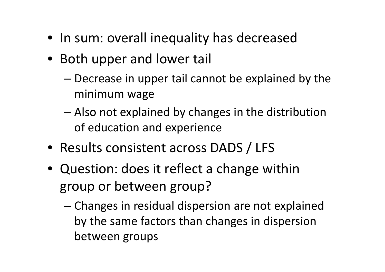- In sum: overall inequality has decreased
- Both upper and lower tail
	- – Decrease in upper tail cannot be explained by the minimum wage
	- – Also not explained by changes in the distribution of education and experience
- Results consistent across DADS / LFS
- Question: does it reflect a change within group or between group?
	- and the state of the state - Changes in residual dispersion are not explained by the same factors than changes in dispersion between groups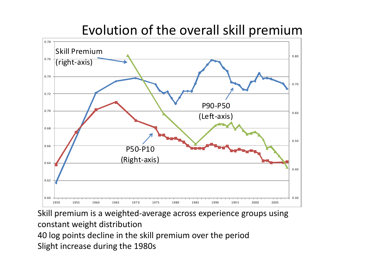#### Evolution of the overall skill premium



Skill premium is a weighted-average across experience groups using constant weight distribution 40 log points decline in the skill premium over the periodSlight increase during the 1980s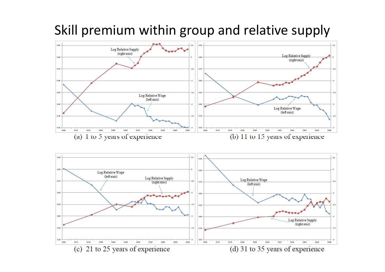

Skill premium within group and relative supply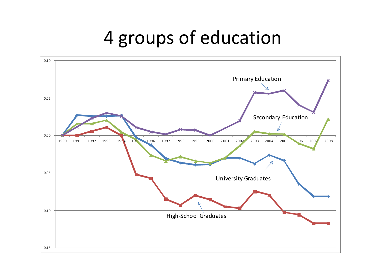#### 4 groups of education

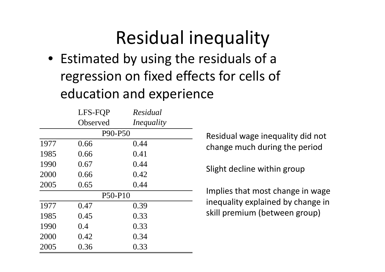## Residual inequality

 • Estimated by using the residuals of a regression on fixed effects for cells of education and experience

|      | LFS-FQP  | Residual   |  |  |  |  |
|------|----------|------------|--|--|--|--|
|      | Observed | Inequality |  |  |  |  |
|      | P90-P50  |            |  |  |  |  |
| 1977 | 0.66     | 0.44       |  |  |  |  |
| 1985 | 0.66     | 0.41       |  |  |  |  |
| 1990 | 0.67     | 0.44       |  |  |  |  |
| 2000 | 0.66     | 0.42       |  |  |  |  |
| 2005 | 0.65     | 0.44       |  |  |  |  |
|      | P50-P10  |            |  |  |  |  |
| 1977 | 0.47     | 0.39       |  |  |  |  |
| 1985 | 0.45     | 0.33       |  |  |  |  |
| 1990 | 0.4      | 0.33       |  |  |  |  |
| 2000 | 0.42     | 0.34       |  |  |  |  |
| 2005 | 0.36     | 0.33       |  |  |  |  |

 Residual wage inequality did not change much during the period

Slight decline within group

Implies that most change in wage inequality explained by change in skill premium (between group)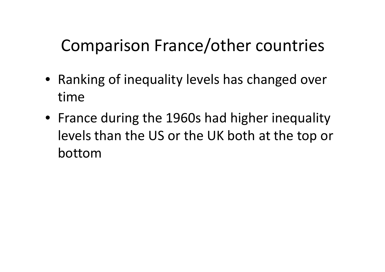#### Comparison France/other countries

- Ranking of inequality levels has changed over time
- France during the 1960s had higher inequality levels than the US or the UK both at the top or bottom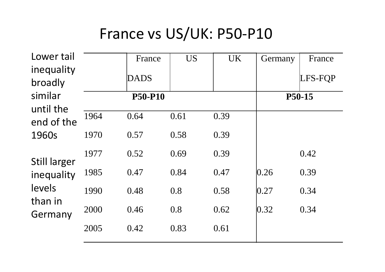#### France vs US/UK: P50-P10

| Lower tail            |      | France         | <b>US</b> | <b>UK</b> | Germany | France  |
|-----------------------|------|----------------|-----------|-----------|---------|---------|
| inequality<br>broadly |      | <b>DADS</b>    |           |           |         | LFS-FQP |
| similar<br>until the  |      | <b>P50-P10</b> |           |           |         | P50-15  |
| end of the            | 1964 | 0.64           | 0.61      | 0.39      |         |         |
| 1960s                 | 1970 | 0.57           | 0.58      | 0.39      |         |         |
| <b>Still larger</b>   | 1977 | 0.52           | 0.69      | 0.39      |         | 0.42    |
| inequality            | 1985 | 0.47           | 0.84      | 0.47      | 0.26    | 0.39    |
| levels<br>than in     | 1990 | 0.48           | 0.8       | 0.58      | 0.27    | 0.34    |
| Germany               | 2000 | 0.46           | 0.8       | 0.62      | 0.32    | 0.34    |
|                       | 2005 | 0.42           | 0.83      | 0.61      |         |         |
|                       |      |                |           |           |         |         |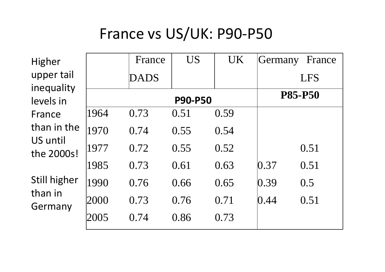#### France vs US/UK: P90-P50

| Higher                  |      | France      | <b>US</b>      | <b>UK</b> | Germany | France         |
|-------------------------|------|-------------|----------------|-----------|---------|----------------|
| upper tail              |      | <b>DADS</b> |                |           |         | <b>LFS</b>     |
| inequality<br>levels in |      |             | <b>P90-P50</b> |           |         | <b>P85-P50</b> |
| France                  | 1964 | 0.73        | 0.51           | 0.59      |         |                |
| than in the<br>US until | 1970 | 0.74        | 0.55           | 0.54      |         |                |
| the 2000s!              | 1977 | 0.72        | 0.55           | 0.52      |         | 0.51           |
|                         | 1985 | 0.73        | 0.61           | 0.63      | 0.37    | 0.51           |
| Still higher<br>than in | 1990 | 0.76        | 0.66           | 0.65      | 0.39    | 0.5            |
| Germany                 | 2000 | 0.73        | 0.76           | 0.71      | 0.44    | 0.51           |
|                         | 2005 | 0.74        | 0.86           | 0.73      |         |                |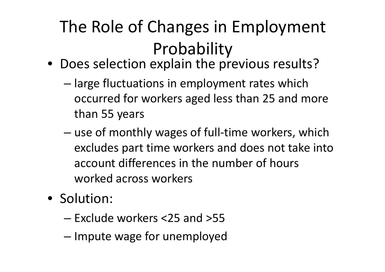# The Role of Changes in Employment Probability

- Does selection explain the previous results?
	- – large fluctuations in employment rates which occurred for workers aged less than 25 and more than 55 years
	- – use of monthly wages of full -time workers, which excludes part time workers and does not take into account differences in the number of hours worked across workers
- Solution:
	- –Exclude workers <25 and >55
	- and the state of the state - Impute wage for unemployed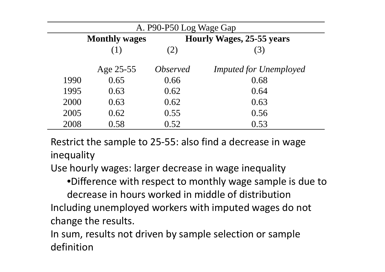| A. P90-P50 Log Wage Gap |                      |                        |                                  |  |  |  |
|-------------------------|----------------------|------------------------|----------------------------------|--|--|--|
|                         | <b>Monthly wages</b> |                        | <b>Hourly Wages, 25-55 years</b> |  |  |  |
|                         | (1)                  | 2)                     | (3)                              |  |  |  |
|                         | Age 25-55            | <i><b>Observed</b></i> | <b>Imputed for Unemployed</b>    |  |  |  |
| 1990                    | 0.65                 | 0.66                   | 0.68                             |  |  |  |
| 1995                    | 0.63                 | 0.62                   | 0.64                             |  |  |  |
| 2000                    | 0.63                 | 0.62                   | 0.63                             |  |  |  |
| 2005                    | 0.62                 | 0.55                   | 0.56                             |  |  |  |
| 2008                    | 0.58                 | 0.52                   | 0.53                             |  |  |  |

Restrict the sample to 25-55: also find a decrease in wage inequality

Use hourly wages: larger decrease in wage inequality

•Difference with respect to monthly wage sample is due to

decrease in hours worked in middle of distribution Including unemployed workers with imputed wages do not change the results.

In sum, results not driven by sample selection or sample definition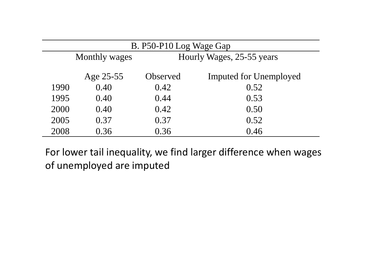|      | B. P50-P10 Log Wage Gap |                           |                               |  |  |  |
|------|-------------------------|---------------------------|-------------------------------|--|--|--|
|      | <b>Monthly wages</b>    | Hourly Wages, 25-55 years |                               |  |  |  |
|      | Age 25-55               | Observed                  | <b>Imputed for Unemployed</b> |  |  |  |
| 1990 | 0.40                    | 0.42                      | 0.52                          |  |  |  |
| 1995 | 0.40                    | 0.44                      | 0.53                          |  |  |  |
| 2000 | 0.40                    | 0.42                      | 0.50                          |  |  |  |
| 2005 | 0.37                    | 0.37                      | 0.52                          |  |  |  |
| 2008 | 0.36                    | 0.36                      | 0.46                          |  |  |  |

For lower tail inequality, we find larger difference when wages of unemployed are imputed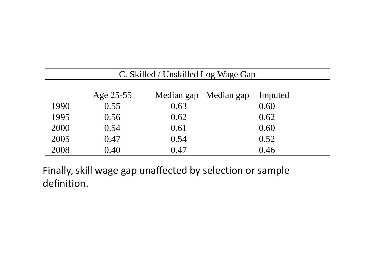|      | C. Skilled / Unskilled Log Wage Gap |      |                                             |  |  |  |
|------|-------------------------------------|------|---------------------------------------------|--|--|--|
|      | Age 25-55                           |      | Median gap $\mathbf{M}$ edian gap + Imputed |  |  |  |
| 1990 | 0.55                                | 0.63 | 0.60                                        |  |  |  |
| 1995 | 0.56                                | 0.62 | 0.62                                        |  |  |  |
| 2000 | 0.54                                | 0.61 | 0.60                                        |  |  |  |
| 2005 | 0.47                                | 0.54 | 0.52                                        |  |  |  |
| 2008 | 0.40                                | 0.47 | 0.46                                        |  |  |  |

Finally, skill wage gap unaffected by selection or sample definition.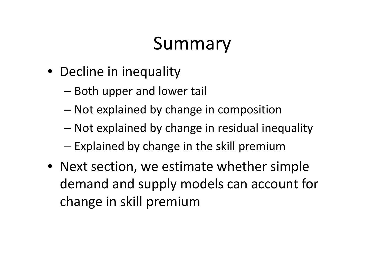## Summary

- Decline in inequality
	- and the state of the state  $-$  Both upper and lower tail
	- – $-$  Not explained by change in composition
	- and the state of the state Not explained by change in residual inequality
	- – $-$  Explained by change in the skill premium
- Next section, we estimate whether simple demand and supply models can account for change in skill premium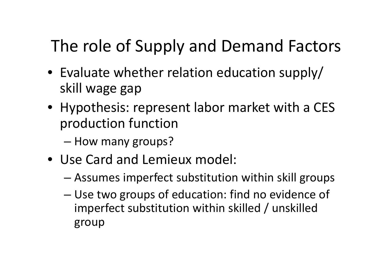#### The role of Supply and Demand Factors

- Evaluate whether relation education supply/ skill wage gap
- Hypothesis: represent labor market with a CES production function
	- and the state of the state – How many groups?
- Use Card and Lemieux model:
	- and the state of the state Assumes imperfect substitution within skill groups
	- and the state of the state - Use two groups of education: find no evidence of imperfect substitution within skilled / unskilled group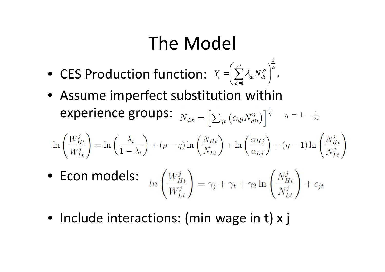## The Model

1

- CES Production function: 1, *D* $t \left( \frac{d}{dt} \right)^{t} dt^{t} dt$  $Y_{t} = | \sum_{d} \lambda_{dt} N_{dt}$  $\lambda_{\nu} N^{\rho}_{\nu}$ = $=\left(\sum_{i=1}^{D} \lambda_{i} N_{i}^{\rho}\right)^{\rho}$  $=\left(\sum_{d=1}\lambda_{dt}N_{dt}^{\rho}\right)^{r}$
- Assume imperfect substitution within experience groups:

$$
\ln\left(\frac{W_{Ht}^{j}}{W_{Lt}^{j}}\right) = \ln\left(\frac{\lambda_t}{1-\lambda_t}\right) + (\rho - \eta)\ln\left(\frac{N_{Ht}}{N_{Lt}}\right) + \ln\left(\frac{\alpha_{Hj}}{\alpha_{Lj}}\right) + (\eta - 1)\ln\left(\frac{N_{Ht}^{j}}{N_{Lt}^{j}}\right)
$$

- Econ models:
- Include interactions: (min wage in t) x j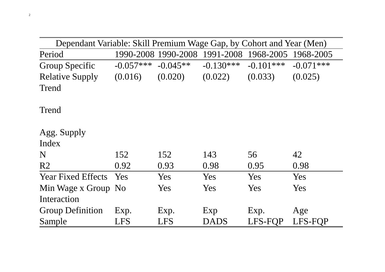| Dependant Variable: Skill Premium Wage Gap, by Cohort and Year (Men) |             |            |                                                   |                |             |
|----------------------------------------------------------------------|-------------|------------|---------------------------------------------------|----------------|-------------|
| Period                                                               |             |            | 1990-2008 1990-2008 1991-2008 1968-2005 1968-2005 |                |             |
| <b>Group Specific</b>                                                | $-0.057***$ | $-0.045**$ | $-0.130***$                                       | $-0.101***$    | $-0.071***$ |
| <b>Relative Supply</b>                                               | (0.016)     | (0.020)    | (0.022)                                           | (0.033)        | (0.025)     |
| Trend                                                                |             |            |                                                   |                |             |
| Trend                                                                |             |            |                                                   |                |             |
| Agg. Supply                                                          |             |            |                                                   |                |             |
| Index                                                                |             |            |                                                   |                |             |
| N                                                                    | 152         | 152        | 143                                               | 56             | 42          |
| R <sub>2</sub>                                                       | 0.92        | 0.93       | 0.98                                              | 0.95           | 0.98        |
| <b>Year Fixed Effects</b>                                            | Yes         | Yes        | Yes                                               | Yes            | Yes         |
| Min Wage x Group No                                                  |             | Yes        | Yes                                               | Yes            | Yes         |
| Interaction                                                          |             |            |                                                   |                |             |
| <b>Group Definition</b>                                              | Exp.        | Exp.       | Exp                                               | Exp.           | Age         |
| Sample                                                               | <b>LFS</b>  | <b>LFS</b> | DADS                                              | <b>LFS-FOP</b> | LFS-FOP     |

2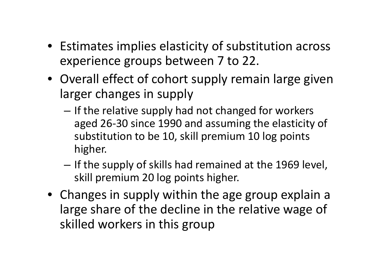- Estimates implies elasticity of substitution acrossexperience groups between 7 to 22.
- Overall effect of cohort supply remain large given larger changes in supply
	- If the relative supply had not changed for workers aged 26-30 since 1990 and assuming the elasticity of substitution to be 10, skill premium 10 log points higher.
	- If the supply of skills had remained at the 1969 level, skill premium 20 log points higher.
- Changes in supply within the age group explain a large share of the decline in the relative wage of skilled workers in this group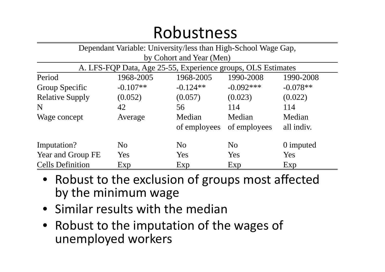#### Robustness

| Dependant Variable: University/less than High-School Wage Gap, |                |                |                |            |  |  |  |
|----------------------------------------------------------------|----------------|----------------|----------------|------------|--|--|--|
| by Cohort and Year (Men)                                       |                |                |                |            |  |  |  |
| A. LFS-FQP Data, Age 25-55, Experience groups, OLS Estimates   |                |                |                |            |  |  |  |
| Period<br>1968-2005<br>1968-2005<br>1990-2008<br>1990-2008     |                |                |                |            |  |  |  |
| Group Specific                                                 | $-0.107**$     | $-0.124**$     | $-0.092***$    | $-0.078**$ |  |  |  |
| <b>Relative Supply</b>                                         | (0.052)        | (0.057)        | (0.023)        | (0.022)    |  |  |  |
| N                                                              | 42             | 56             | 114            | 114        |  |  |  |
| Wage concept                                                   | Average        | Median         | Median         | Median     |  |  |  |
|                                                                |                | of employees   | of employees   | all indiv. |  |  |  |
| Imputation?                                                    | N <sub>0</sub> | N <sub>0</sub> | N <sub>0</sub> | 0 imputed  |  |  |  |
| Year and Group FE                                              | Yes            | Yes            | Yes            | Yes        |  |  |  |
| <b>Cells Definition</b>                                        | Exp            | Exp            | Exp            | Exp        |  |  |  |

- Robust to the exclusion of groups most affected by the minimum wage
- Similar results with the median
- Robust to the imputation of the wages of unemployed workers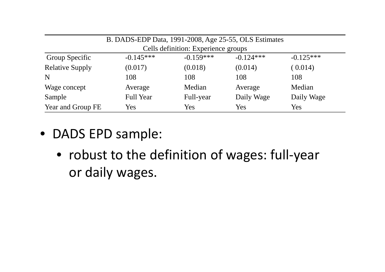| B. DADS-EDP Data, 1991-2008, Age 25-55, OLS Estimates                      |         |         |         |         |  |  |
|----------------------------------------------------------------------------|---------|---------|---------|---------|--|--|
| Cells definition: Experience groups                                        |         |         |         |         |  |  |
| $-0.159***$<br>$-0.145***$<br>$-0.124***$<br>$-0.125***$<br>Group Specific |         |         |         |         |  |  |
| <b>Relative Supply</b>                                                     | (0.017) | (0.018) | (0.014) | (0.014) |  |  |
| N                                                                          | 108     | 108     | 108     | 108     |  |  |
| Wage concept                                                               | Average | Median  | Average | Median  |  |  |
| Daily Wage<br><b>Full Year</b><br>Daily Wage<br>Sample<br>Full-year        |         |         |         |         |  |  |
| Year and Group FE                                                          | Yes     | Yes     | Yes     | Yes     |  |  |

- DADS EPD sample:
	- robust to the definition of wages: full-year or daily wages.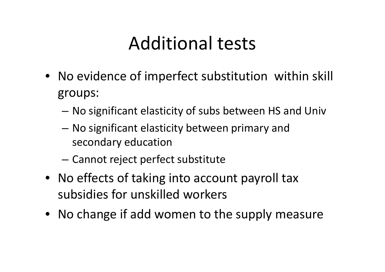### Additional tests

- No evidence of imperfect substitution within skill groups:
	- –No significant elasticity of subs between HS and Univ
	- – No significant elasticity between primary and secondary education
	- –Cannot reject perfect substitute
- No effects of taking into account payroll tax subsidies for unskilled workers
- No change if add women to the supply measure